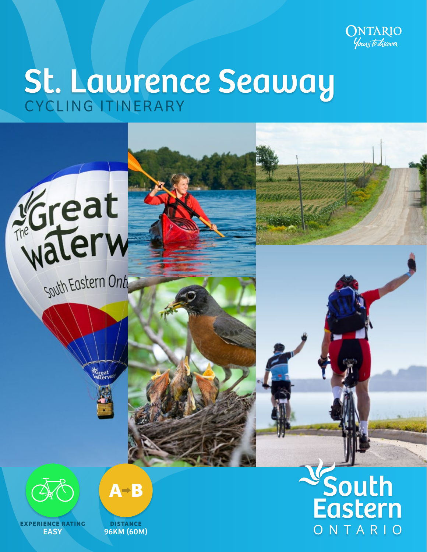

ONTARIO

# St. Lawrence Seaway





**EXPERIENCE RATING EASY** 



**DISTANCE** 96KM (60M)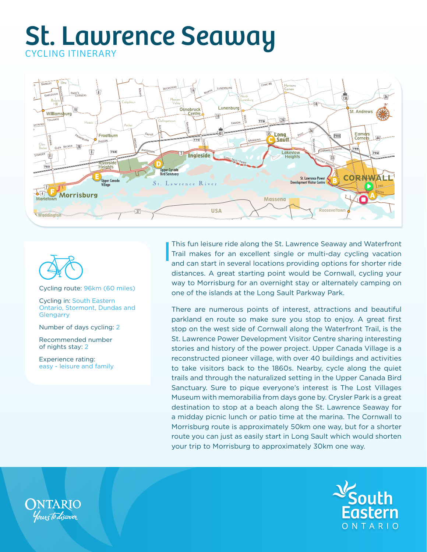



Cycling route: 96km (60 miles)

Cycling in: South Eastern Ontario, Stormont, Dundas and **Glengarry** 

Number of days cycling: 2

Recommended number of nights stay: 2

Experience rating: easy - leisure and family

This fun leisure ride along the St. Lawrence Seaway and Waterfront Trail makes for an excellent single or multi-day cycling vacation and can start in several locations providing options for shorter ride distances. A great starting point would be Cornwall, cycling your way to Morrisburg for an overnight stay or alternately camping on one of the islands at the Long Sault Parkway Park.

There are numerous points of interest, attractions and beautiful parkland en route so make sure you stop to enjoy. A great first stop on the west side of Cornwall along the Waterfront Trail, is the St. Lawrence Power Development Visitor Centre sharing interesting stories and history of the power project. Upper Canada Village is a reconstructed pioneer village, with over 40 buildings and activities to take visitors back to the 1860s. Nearby, cycle along the quiet trails and through the naturalized setting in the Upper Canada Bird Sanctuary. Sure to pique everyone's interest is The Lost Villages Museum with memorabilia from days gone by. Crysler Park is a great destination to stop at a beach along the St. Lawrence Seaway for a midday picnic lunch or patio time at the marina. The Cornwall to Morrisburg route is approximately 50km one way, but for a shorter route you can just as easily start in Long Sault which would shorten your trip to Morrisburg to approximately 30km one way.



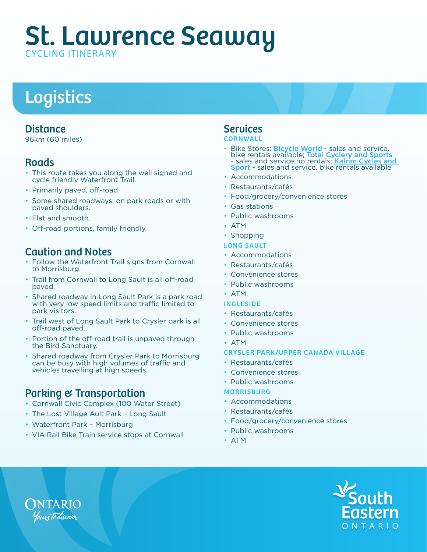# Logistics

### Distance

96km (60 miles)

## **Roads**

- This route takes you along the well signed and cycle friendly Waterfront Trail.
- Primarily paved, off-road.
- Some shared roadways, on park roads or with paved shoulders.
- Flat and smooth.
- Off-road portions, family friendly.

## Caution and Notes

- Follow the Waterfront Trail signs from Cornwall to Morrisburg.
- Trail from Cornwall to Long Sault is all off-road paved.
- Shared roadway in Long Sault Park is a park road with very low speed limits and traffic limited to park visitors.
- Trail west of Long Sault Park to Crysler park is all off-road paved.
- Portion of the off-road trail is unpaved through the Bird Sanctuary.
- Shared roadway from Crysler Park to Morrisburg can be busy with high volumes of traffic and vehicles travelling at high speeds.

## Parking & Transportation

- Cornwall Civic Complex (100 Water Street)
- The Lost Village Ault Park Long Sault
- Waterfront Park Morrisburg
- VIA Rail Bike Train service stops at Cornwall

# Services

#### **CORNWAL**

- Bike Stores: [Bicycle World](http://www.bicycleworld.com) sales and service, bike rentals available; [Total Cyclery and Sports](https://totalcyclery.ca/) - sales and service no rentals; Kalrim Cycles and [Sport](https://www.kalrim.com/) - sales and service, bike rentals available
- **Accommodations**
- Restaurants/cafés
- Food/grocery/convenience stores
- Gas stations
- Public washrooms
- ATM
- Shopping

#### LONG SAULT

- Accommodations
- Restaurants/cafés
- Convenience stores
- Public washrooms
- ATM

#### INGLESIDE

- Restaurants/cafés
- Convenience stores
- Public washrooms
- ATM

#### CRYSLER PARK/UPPER CANADA VILLAGE

- Restaurants/cafés
- Convenience stores
- Public washrooms

#### **MORRISBURG**

- Accommodations
- Restaurants/cafés
- Food/grocery/convenience stores
- Public washrooms
- ATM



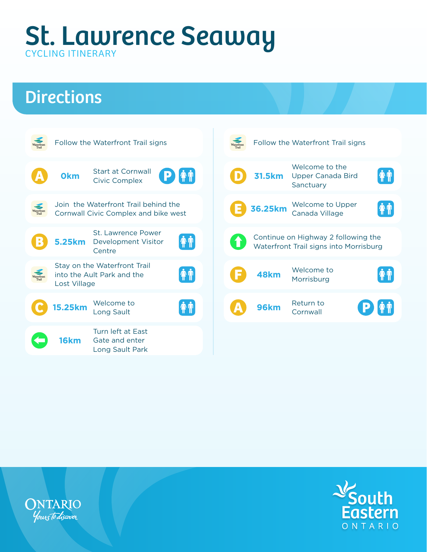# **Directions**